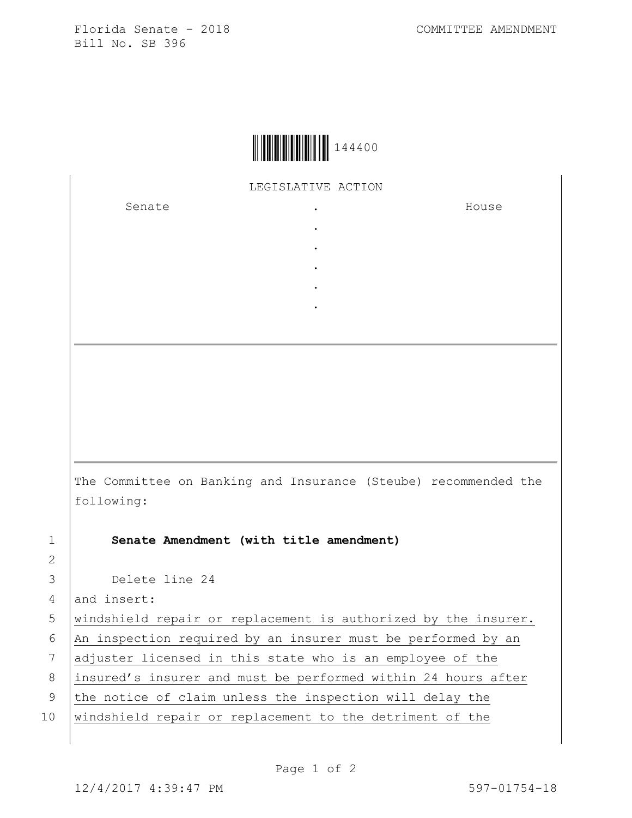Florida Senate - 2018 COMMITTEE AMENDMENT Bill No. SB 396



LEGISLATIVE ACTION

. . . . .

Senate the senate of the senate  $\cdot$ 

House

The Committee on Banking and Insurance (Steube) recommended the following:

2

1 **Senate Amendment (with title amendment)**

3 Delete line 24

4 and insert:

5 windshield repair or replacement is authorized by the insurer.

6 An inspection required by an insurer must be performed by an

7 adjuster licensed in this state who is an employee of the

8 | insured's insurer and must be performed within 24 hours after

9 the notice of claim unless the inspection will delay the

10 windshield repair or replacement to the detriment of the